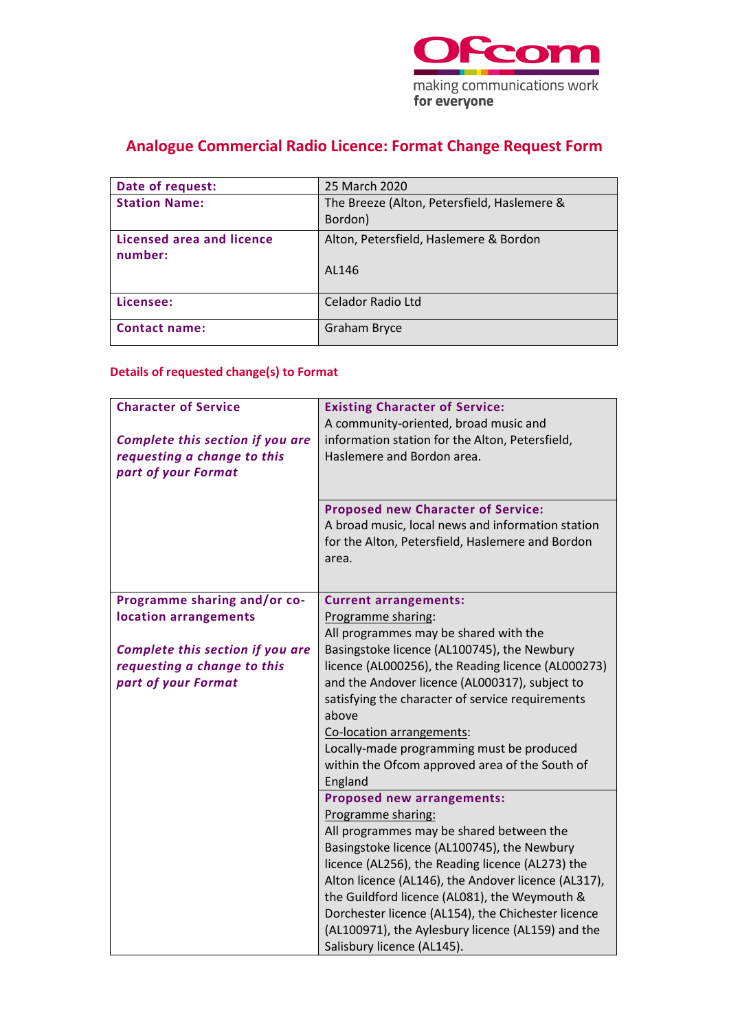

# **Analogue Commercial Radio Licence: Format Change Request Form**

| 25 March 2020                               |
|---------------------------------------------|
| The Breeze (Alton, Petersfield, Haslemere & |
| Bordon)                                     |
| Alton, Petersfield, Haslemere & Bordon      |
|                                             |
| AL146                                       |
|                                             |
| <b>Celador Radio Ltd</b>                    |
| <b>Graham Bryce</b>                         |
|                                             |

## **Details of requested change(s) to Format**

| <b>Character of Service</b><br>Complete this section if you are<br>requesting a change to this<br>part of your Format | <b>Existing Character of Service:</b><br>A community-oriented, broad music and<br>information station for the Alton, Petersfield,<br>Haslemere and Bordon area.<br><b>Proposed new Character of Service:</b> |
|-----------------------------------------------------------------------------------------------------------------------|--------------------------------------------------------------------------------------------------------------------------------------------------------------------------------------------------------------|
|                                                                                                                       | A broad music, local news and information station<br>for the Alton, Petersfield, Haslemere and Bordon<br>area.                                                                                               |
| Programme sharing and/or co-                                                                                          | <b>Current arrangements:</b>                                                                                                                                                                                 |
| location arrangements                                                                                                 | Programme sharing:                                                                                                                                                                                           |
|                                                                                                                       | All programmes may be shared with the                                                                                                                                                                        |
| Complete this section if you are                                                                                      | Basingstoke licence (AL100745), the Newbury                                                                                                                                                                  |
| requesting a change to this<br>part of your Format                                                                    | licence (AL000256), the Reading licence (AL000273)<br>and the Andover licence (AL000317), subject to                                                                                                         |
|                                                                                                                       | satisfying the character of service requirements                                                                                                                                                             |
|                                                                                                                       | above                                                                                                                                                                                                        |
|                                                                                                                       | Co-location arrangements:                                                                                                                                                                                    |
|                                                                                                                       | Locally-made programming must be produced                                                                                                                                                                    |
|                                                                                                                       | within the Ofcom approved area of the South of                                                                                                                                                               |
|                                                                                                                       | England                                                                                                                                                                                                      |
|                                                                                                                       | <b>Proposed new arrangements:</b>                                                                                                                                                                            |
|                                                                                                                       | Programme sharing:                                                                                                                                                                                           |
|                                                                                                                       | All programmes may be shared between the                                                                                                                                                                     |
|                                                                                                                       | Basingstoke licence (AL100745), the Newbury<br>licence (AL256), the Reading licence (AL273) the                                                                                                              |
|                                                                                                                       | Alton licence (AL146), the Andover licence (AL317),                                                                                                                                                          |
|                                                                                                                       | the Guildford licence (AL081), the Weymouth &                                                                                                                                                                |
|                                                                                                                       | Dorchester licence (AL154), the Chichester licence                                                                                                                                                           |
|                                                                                                                       | (AL100971), the Aylesbury licence (AL159) and the                                                                                                                                                            |
|                                                                                                                       | Salisbury licence (AL145).                                                                                                                                                                                   |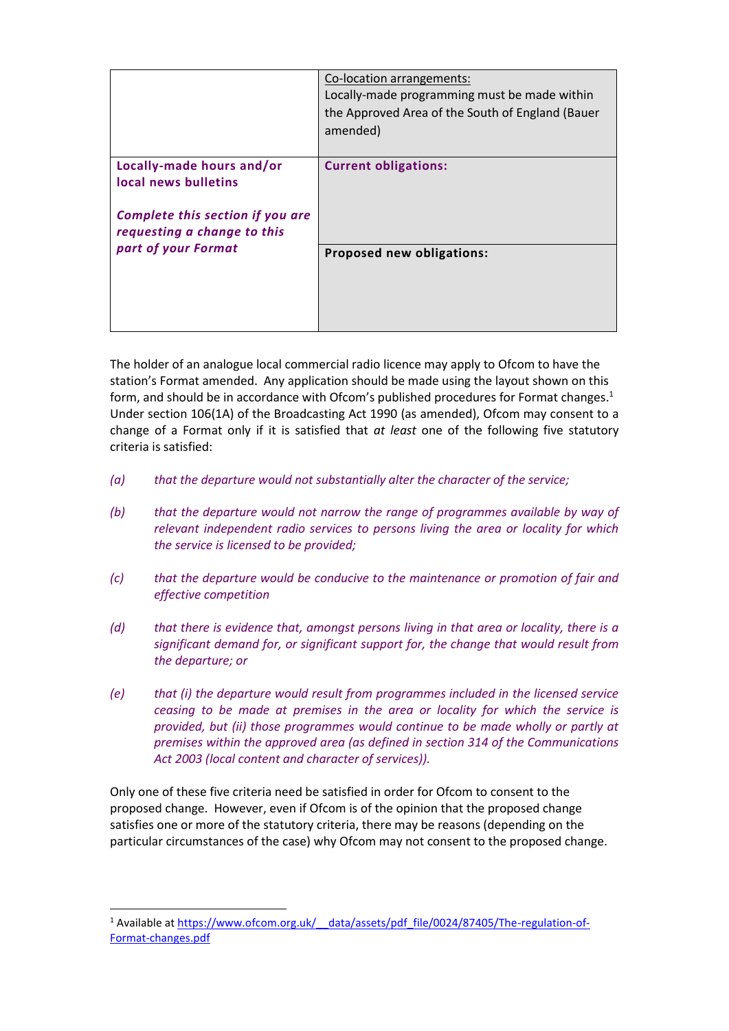|                                                                                                                      | Co-location arrangements:<br>Locally-made programming must be made within<br>the Approved Area of the South of England (Bauer<br>amended) |
|----------------------------------------------------------------------------------------------------------------------|-------------------------------------------------------------------------------------------------------------------------------------------|
| Locally-made hours and/or<br>local news bulletins<br>Complete this section if you are<br>requesting a change to this | <b>Current obligations:</b>                                                                                                               |
| part of your Format                                                                                                  | Proposed new obligations:                                                                                                                 |

The holder of an analogue local commercial radio licence may apply to Ofcom to have the station's Format amended. Any application should be made using the layout shown on this form, and should be in accordance with Ofcom's published procedures for Format changes. 1 Under section 106(1A) of the Broadcasting Act 1990 (as amended), Ofcom may consent to a change of a Format only if it is satisfied that *at least* one of the following five statutory criteria is satisfied:

- *(a) that the departure would not substantially alter the character of the service;*
- *(b) that the departure would not narrow the range of programmes available by way of relevant independent radio services to persons living the area or locality for which the service is licensed to be provided;*
- *(c) that the departure would be conducive to the maintenance or promotion of fair and effective competition*
- *(d) that there is evidence that, amongst persons living in that area or locality, there is a significant demand for, or significant support for, the change that would result from the departure; or*
- *(e) that (i) the departure would result from programmes included in the licensed service ceasing to be made at premises in the area or locality for which the service is provided, but (ii) those programmes would continue to be made wholly or partly at premises within the approved area (as defined in section 314 of the Communications Act 2003 (local content and character of services)).*

Only one of these five criteria need be satisfied in order for Ofcom to consent to the proposed change. However, even if Ofcom is of the opinion that the proposed change satisfies one or more of the statutory criteria, there may be reasons (depending on the particular circumstances of the case) why Ofcom may not consent to the proposed change.

<sup>&</sup>lt;sup>1</sup> Available at https://www.ofcom.org.uk/ data/assets/pdf file/0024/87405/The-regulation-of-[Format-changes.pdf](https://www.ofcom.org.uk/__data/assets/pdf_file/0024/87405/The-regulation-of-Format-changes.pdf)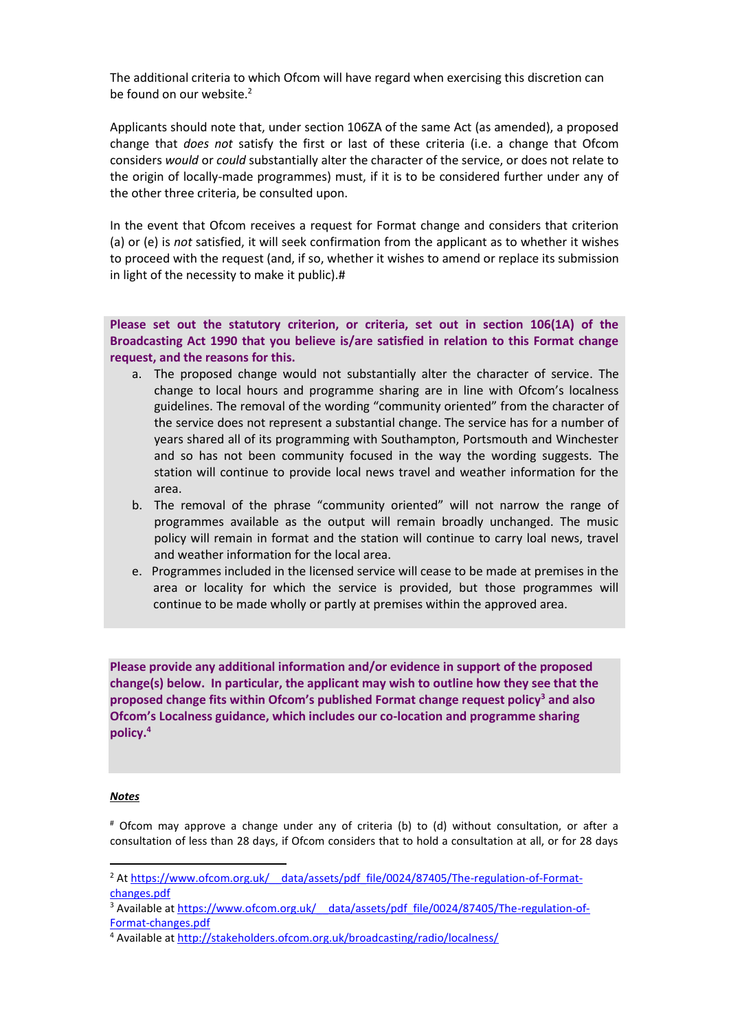The additional criteria to which Ofcom will have regard when exercising this discretion can be found on our website.<sup>2</sup>

Applicants should note that, under section 106ZA of the same Act (as amended), a proposed change that *does not* satisfy the first or last of these criteria (i.e. a change that Ofcom considers *would* or *could* substantially alter the character of the service, or does not relate to the origin of locally-made programmes) must, if it is to be considered further under any of the other three criteria, be consulted upon.

In the event that Ofcom receives a request for Format change and considers that criterion (a) or (e) is *not* satisfied, it will seek confirmation from the applicant as to whether it wishes to proceed with the request (and, if so, whether it wishes to amend or replace its submission in light of the necessity to make it public).#

**Please set out the statutory criterion, or criteria, set out in section 106(1A) of the Broadcasting Act 1990 that you believe is/are satisfied in relation to this Format change request, and the reasons for this.**

- a. The proposed change would not substantially alter the character of service. The change to local hours and programme sharing are in line with Ofcom's localness guidelines. The removal of the wording "community oriented" from the character of the service does not represent a substantial change. The service has for a number of years shared all of its programming with Southampton, Portsmouth and Winchester and so has not been community focused in the way the wording suggests. The station will continue to provide local news travel and weather information for the area.
- b. The removal of the phrase "community oriented" will not narrow the range of programmes available as the output will remain broadly unchanged. The music policy will remain in format and the station will continue to carry loal news, travel and weather information for the local area.
- e. Programmes included in the licensed service will cease to be made at premises in the area or locality for which the service is provided, but those programmes will continue to be made wholly or partly at premises within the approved area.

**Please provide any additional information and/or evidence in support of the proposed change(s) below. In particular, the applicant may wish to outline how they see that the proposed change fits within Ofcom's published Format change request policy<sup>3</sup> and also Ofcom's Localness guidance, which includes our co-location and programme sharing policy. 4**

#### *Notes*

# Ofcom may approve a change under any of criteria (b) to (d) without consultation, or after a consultation of less than 28 days, if Ofcom considers that to hold a consultation at all, or for 28 days

<sup>&</sup>lt;sup>2</sup> At https://www.ofcom.org.uk/ \_data/assets/pdf\_file/0024/87405/The-regulation-of-Format[changes.pdf](https://www.ofcom.org.uk/__data/assets/pdf_file/0024/87405/The-regulation-of-Format-changes.pdf)

<sup>&</sup>lt;sup>3</sup> Available at https://www.ofcom.org.uk/ data/assets/pdf file/0024/87405/The-regulation-of-[Format-changes.pdf](https://www.ofcom.org.uk/__data/assets/pdf_file/0024/87405/The-regulation-of-Format-changes.pdf)

<sup>&</sup>lt;sup>4</sup> Available at<http://stakeholders.ofcom.org.uk/broadcasting/radio/localness/>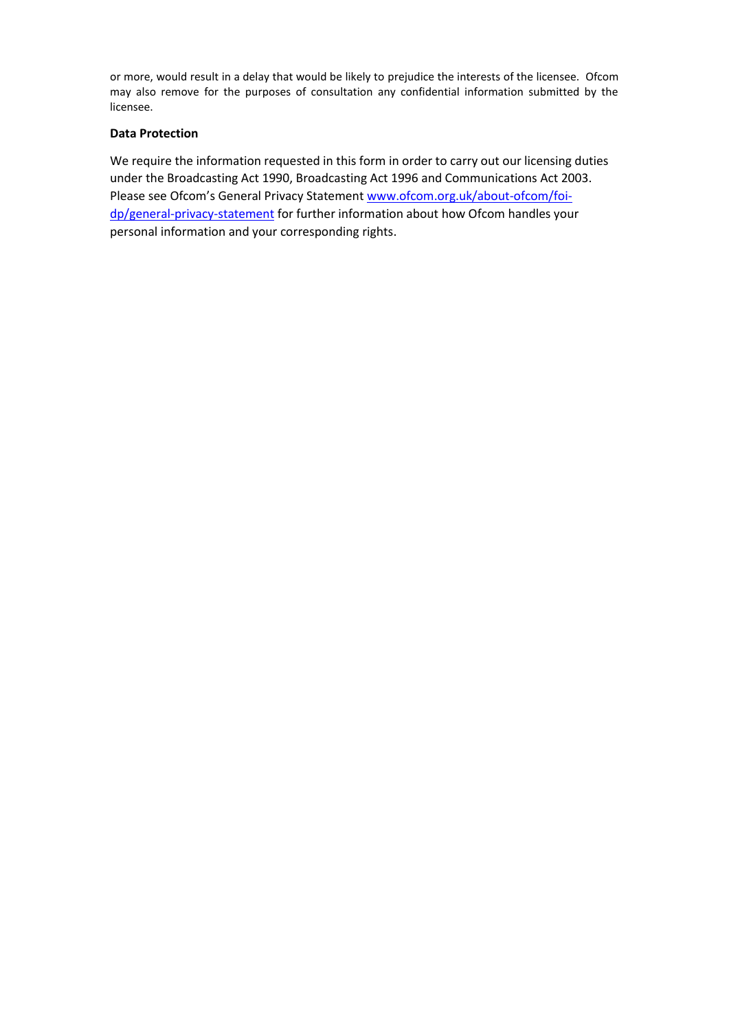or more, would result in a delay that would be likely to prejudice the interests of the licensee. Ofcom may also remove for the purposes of consultation any confidential information submitted by the licensee.

#### **Data Protection**

We require the information requested in this form in order to carry out our licensing duties under the Broadcasting Act 1990, Broadcasting Act 1996 and Communications Act 2003. Please see Ofcom's General Privacy Statement [www.ofcom.org.uk/about-ofcom/foi](http://www.ofcom.org.uk/about-ofcom/foi-dp/general-privacy-statement)[dp/general-privacy-statement](http://www.ofcom.org.uk/about-ofcom/foi-dp/general-privacy-statement)</u> for further information about how Ofcom handles your personal information and your corresponding rights.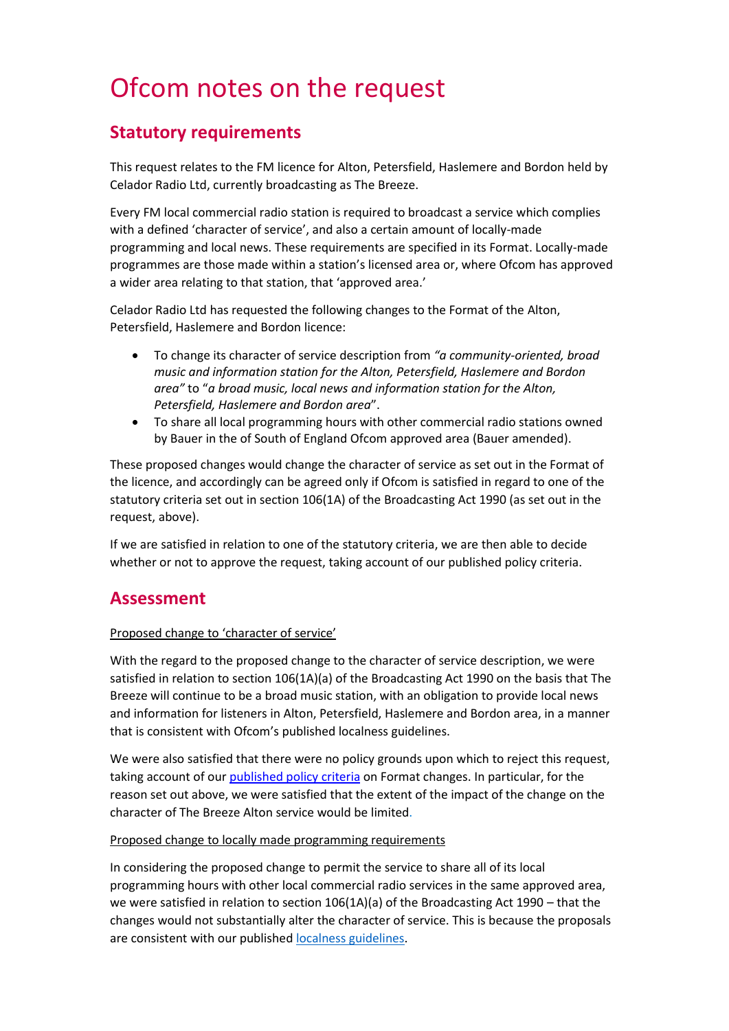# Ofcom notes on the request

## **Statutory requirements**

This request relates to the FM licence for Alton, Petersfield, Haslemere and Bordon held by Celador Radio Ltd, currently broadcasting as The Breeze.

Every FM local commercial radio station is required to broadcast a service which complies with a defined 'character of service', and also a certain amount of locally-made programming and local news. These requirements are specified in its Format. Locally-made programmes are those made within a station's licensed area or, where Ofcom has approved a wider area relating to that station, that 'approved area.'

Celador Radio Ltd has requested the following changes to the Format of the Alton, Petersfield, Haslemere and Bordon licence:

- To change its character of service description from *"a community-oriented, broad music and information station for the Alton, Petersfield, Haslemere and Bordon area"* to "*a broad music, local news and information station for the Alton, Petersfield, Haslemere and Bordon area*".
- To share all local programming hours with other commercial radio stations owned by Bauer in the of South of England Ofcom approved area (Bauer amended).

These proposed changes would change the character of service as set out in the Format of the licence, and accordingly can be agreed only if Ofcom is satisfied in regard to one of the statutory criteria set out in section 106(1A) of the Broadcasting Act 1990 (as set out in the request, above).

If we are satisfied in relation to one of the statutory criteria, we are then able to decide whether or not to approve the request, taking account of our published policy criteria.

## **Assessment**

### Proposed change to 'character of service'

With the regard to the proposed change to the character of service description, we were satisfied in relation to section 106(1A)(a) of the Broadcasting Act 1990 on the basis that The Breeze will continue to be a broad music station, with an obligation to provide local news and information for listeners in Alton, Petersfield, Haslemere and Bordon area, in a manner that is consistent with Ofcom's published localness guidelines.

We were also satisfied that there were no policy grounds upon which to reject this request, taking account of our published policy criteria on Format changes. In particular, for the reason set out above, we were satisfied that the extent of the impact of the change on the character of The Breeze Alton service would be limited.

#### Proposed change to locally made programming requirements

In considering the proposed change to permit the service to share all of its local programming hours with other local commercial radio services in the same approved area, we were satisfied in relation to section 106(1A)(a) of the Broadcasting Act 1990 – that the changes would not substantially alter the character of service. This is because the proposals are consistent with our published [localness guidelines.](https://www.ofcom.org.uk/tv-radio-and-on-demand/information-for-industry/radio-broadcasters/localness)